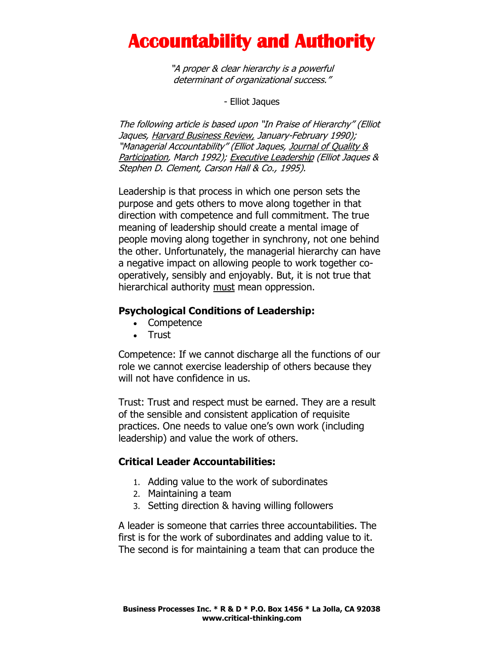## **Accountability and Authority**

"A proper & clear hierarchy is a powerful determinant of organizational success."

- Elliot Jaques

The following article is based upon "In Praise of Hierarchy" (Elliot Jaques, Harvard Business Review, January-February 1990); "Managerial Accountability" (Elliot Jaques, Journal of Quality & Participation, March 1992); Executive Leadership (Elliot Jaques & Stephen D. Clement, Carson Hall & Co., 1995).

Leadership is that process in which one person sets the purpose and gets others to move along together in that direction with competence and full commitment. The true meaning of leadership should create a mental image of people moving along together in synchrony, not one behind the other. Unfortunately, the managerial hierarchy can have a negative impact on allowing people to work together cooperatively, sensibly and enjoyably. But, it is not true that hierarchical authority must mean oppression.

#### **Psychological Conditions of Leadership:**

- Competence
- Trust

Competence: If we cannot discharge all the functions of our role we cannot exercise leadership of others because they will not have confidence in us.

Trust: Trust and respect must be earned. They are a result of the sensible and consistent application of requisite practices. One needs to value one's own work (including leadership) and value the work of others.

#### **Critical Leader Accountabilities:**

- 1. Adding value to the work of subordinates
- 2. Maintaining a team
- 3. Setting direction & having willing followers

A leader is someone that carries three accountabilities. The first is for the work of subordinates and adding value to it. The second is for maintaining a team that can produce the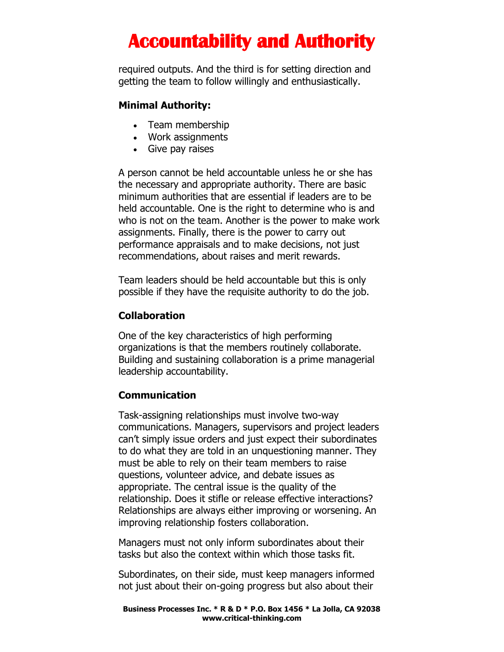# **Accountability and Authority**

required outputs. And the third is for setting direction and getting the team to follow willingly and enthusiastically.

#### **Minimal Authority:**

- Team membership
- Work assignments
- Give pay raises

A person cannot be held accountable unless he or she has the necessary and appropriate authority. There are basic minimum authorities that are essential if leaders are to be held accountable. One is the right to determine who is and who is not on the team. Another is the power to make work assignments. Finally, there is the power to carry out performance appraisals and to make decisions, not just recommendations, about raises and merit rewards.

Team leaders should be held accountable but this is only possible if they have the requisite authority to do the job.

#### **Collaboration**

One of the key characteristics of high performing organizations is that the members routinely collaborate. Building and sustaining collaboration is a prime managerial leadership accountability.

#### **Communication**

Task-assigning relationships must involve two-way communications. Managers, supervisors and project leaders can't simply issue orders and just expect their subordinates to do what they are told in an unquestioning manner. They must be able to rely on their team members to raise questions, volunteer advice, and debate issues as appropriate. The central issue is the quality of the relationship. Does it stifle or release effective interactions? Relationships are always either improving or worsening. An improving relationship fosters collaboration.

Managers must not only inform subordinates about their tasks but also the context within which those tasks fit.

Subordinates, on their side, must keep managers informed not just about their on-going progress but also about their